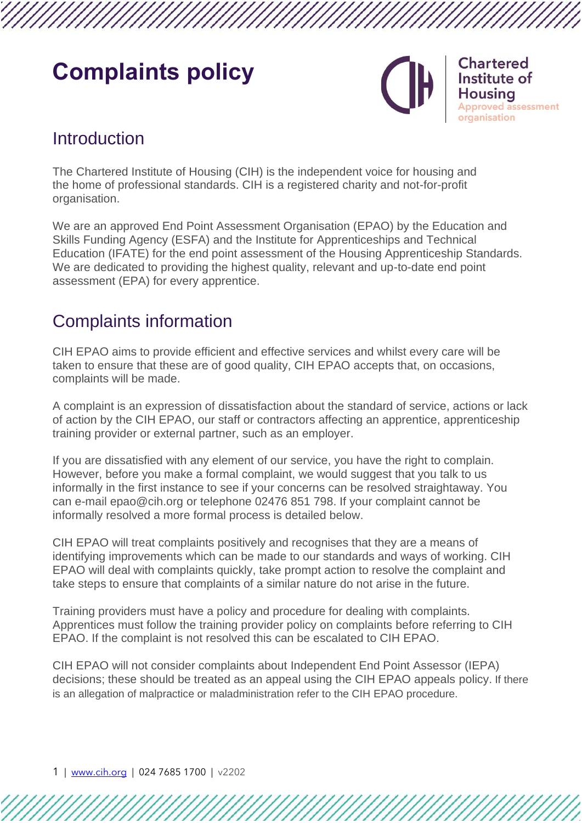# **Complaints policy**



**Chartered** Institute of Housina proved assessment organisation

### Introduction

The Chartered Institute of Housing (CIH) is the independent voice for housing and the home of professional standards. CIH is a registered charity and not-for-profit organisation.

We are an approved End Point Assessment Organisation (EPAO) by the Education and Skills Funding Agency (ESFA) and the Institute for Apprenticeships and Technical Education (IFATE) for the end point assessment of the Housing Apprenticeship Standards. We are dedicated to providing the highest quality, relevant and up-to-date end point assessment (EPA) for every apprentice.

# Complaints information

CIH EPAO aims to provide efficient and effective services and whilst every care will be taken to ensure that these are of good quality, CIH EPAO accepts that, on occasions, complaints will be made.

A complaint is an expression of dissatisfaction about the standard of service, actions or lack of action by the CIH EPAO, our staff or contractors affecting an apprentice, apprenticeship training provider or external partner, such as an employer.

If you are dissatisfied with any element of our service, you have the right to complain. However, before you make a formal complaint, we would suggest that you talk to us informally in the first instance to see if your concerns can be resolved straightaway. You can e-mail [epao@cih.org](mailto:epao@cih.org) or telephone 02476 851 798. If your complaint cannot be informally resolved a more formal process is detailed below.

CIH EPAO will treat complaints positively and recognises that they are a means of identifying improvements which can be made to our standards and ways of working. CIH EPAO will deal with complaints quickly, take prompt action to resolve the complaint and take steps to ensure that complaints of a similar nature do not arise in the future.

Training providers must have a policy and procedure for dealing with complaints. Apprentices must follow the training provider policy on complaints before referring to CIH EPAO. If the complaint is not resolved this can be escalated to CIH EPAO.

CIH EPAO will not consider complaints about Independent End Point Assessor (IEPA) decisions; these should be treated as an appeal using the CIH EPAO appeals policy. If there is an allegation of malpractice or maladministration refer to the CIH EPAO procedure.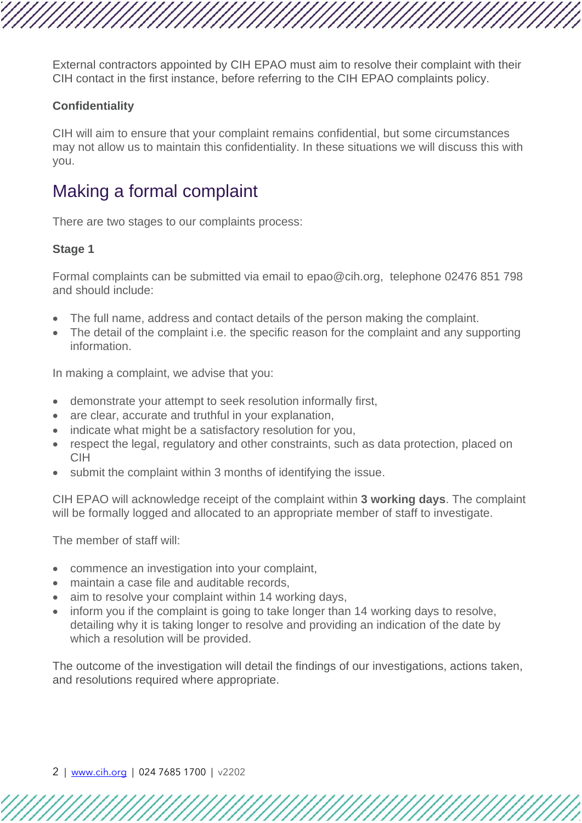External contractors appointed by CIH EPAO must aim to resolve their complaint with their CIH contact in the first instance, before referring to the CIH EPAO complaints policy.

#### **Confidentiality**

CIH will aim to ensure that your complaint remains confidential, but some circumstances may not allow us to maintain this confidentiality. In these situations we will discuss this with you.

## Making a formal complaint

There are two stages to our complaints process:

#### **Stage 1**

Formal complaints can be submitted via email to [epao@cih.org,](mailto:epao@cih.org) telephone 02476 851 798 and should include:

- The full name, address and contact details of the person making the complaint.
- The detail of the complaint i.e. the specific reason for the complaint and any supporting information.

In making a complaint, we advise that you:

- demonstrate your attempt to seek resolution informally first,
- are clear, accurate and truthful in your explanation,
- indicate what might be a satisfactory resolution for you,
- respect the legal, regulatory and other constraints, such as data protection, placed on CIH
- submit the complaint within 3 months of identifying the issue.

CIH EPAO will acknowledge receipt of the complaint within **3 working days**. The complaint will be formally logged and allocated to an appropriate member of staff to investigate.

The member of staff will:

- commence an investigation into your complaint,
- maintain a case file and auditable records,
- aim to resolve your complaint within 14 working days,
- inform you if the complaint is going to take longer than 14 working days to resolve, detailing why it is taking longer to resolve and providing an indication of the date by which a resolution will be provided.

The outcome of the investigation will detail the findings of our investigations, actions taken, and resolutions required where appropriate.